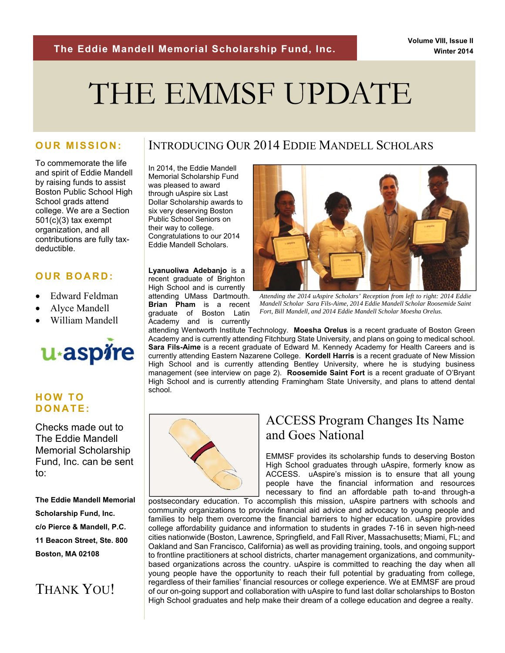# THE EMMSF UPDATE

### **OUR MISSION:**

To commemorate the life and spirit of Eddie Mandell by raising funds to assist Boston Public School High School grads attend college. We are a Section  $501(c)(3)$  tax exempt organization, and all contributions are fully taxdeductible.

## **OUR BOARD:**

- Edward Feldman
- Alyce Mandell
- William Mandell



## **HOW TO DONATE:**

Checks made out to The Eddie Mandell Memorial Scholarship Fund, Inc. can be sent to:

**The Eddie Mandell Memorial Scholarship Fund, Inc. c/o Pierce & Mandell, P.C. 11 Beacon Street, Ste. 800 Boston, MA 02108** 

# THANK YOU!

## INTRODUCING OUR 2014 EDDIE MANDELL SCHOLARS

In 2014, the Eddie Mandell Memorial Scholarship Fund was pleased to award through uAspire six Last Dollar Scholarship awards to six very deserving Boston Public School Seniors on their way to college. Congratulations to our 2014 Eddie Mandell Scholars.

**Lyanuoliwa Adebanjo** is a recent graduate of Brighton High School and is currently attending UMass Dartmouth. **Brian Pham** is a recent graduate of Boston Latin Academy and is currently



*Attending the 2014 uAspire Scholars' Reception from left to right: 2014 Eddie Mandell Scholar Sara Fils-Aime, 2014 Eddie Mandell Scholar Roosemide Saint Fort, Bill Mandell, and 2014 Eddie Mandell Scholar Moesha Orelus.* 

attending Wentworth Institute Technology. **Moesha Orelus** is a recent graduate of Boston Green Academy and is currently attending Fitchburg State University, and plans on going to medical school. **Sara Fils-Aime** is a recent graduate of Edward M. Kennedy Academy for Health Careers and is currently attending Eastern Nazarene College. **Kordell Harris** is a recent graduate of New Mission High School and is currently attending Bentley University, where he is studying business management (see interview on page 2). **Roosemide Saint Fort** is a recent graduate of O'Bryant High School and is currently attending Framingham State University, and plans to attend dental school.



## ACCESS Program Changes Its Name and Goes National

EMMSF provides its scholarship funds to deserving Boston High School graduates through uAspire, formerly know as ACCESS. uAspire's mission is to ensure that all young people have the financial information and resources necessary to find an affordable path to-and through-a

postsecondary education. To accomplish this mission, uAspire partners with schools and community organizations to provide financial aid advice and advocacy to young people and families to help them overcome the financial barriers to higher education. uAspire provides college affordability guidance and information to students in grades 7-16 in seven high-need cities nationwide (Boston, Lawrence, Springfield, and Fall River, Massachusetts; Miami, FL; and Oakland and San Francisco, California) as well as providing training, tools, and ongoing support to frontline practitioners at school districts, charter management organizations, and communitybased organizations across the country. uAspire is committed to reaching the day when all young people have the opportunity to reach their full potential by graduating from college, regardless of their families' financial resources or college experience. We at EMMSF are proud of our on-going support and collaboration with uAspire to fund last dollar scholarships to Boston High School graduates and help make their dream of a college education and degree a realty.